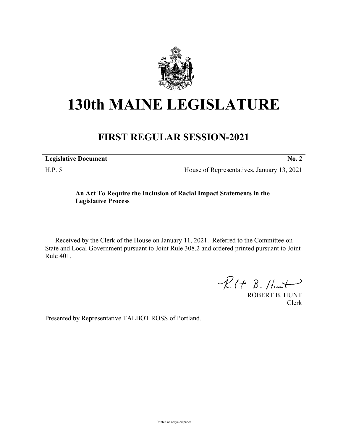

## **130th MAINE LEGISLATURE**

## **FIRST REGULAR SESSION-2021**

| <b>Legislative Document</b> |  |
|-----------------------------|--|
|                             |  |

H.P. 5 House of Representatives, January 13, 2021

## **An Act To Require the Inclusion of Racial Impact Statements in the Legislative Process**

Received by the Clerk of the House on January 11, 2021. Referred to the Committee on State and Local Government pursuant to Joint Rule 308.2 and ordered printed pursuant to Joint Rule 401.

 $R(H B. H<sub>ur</sub>)$ 

ROBERT B. HUNT Clerk

Presented by Representative TALBOT ROSS of Portland.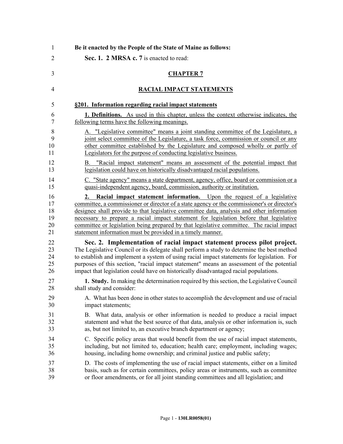| 1                                | Be it enacted by the People of the State of Maine as follows:                                                                                                                                                                                                                                                                                                                                                                                                                                                                |
|----------------------------------|------------------------------------------------------------------------------------------------------------------------------------------------------------------------------------------------------------------------------------------------------------------------------------------------------------------------------------------------------------------------------------------------------------------------------------------------------------------------------------------------------------------------------|
| $\overline{2}$                   | Sec. 1. 2 MRSA c. 7 is enacted to read:                                                                                                                                                                                                                                                                                                                                                                                                                                                                                      |
| 3                                | <b>CHAPTER 7</b>                                                                                                                                                                                                                                                                                                                                                                                                                                                                                                             |
| 4                                | RACIAL IMPACT STATEMENTS                                                                                                                                                                                                                                                                                                                                                                                                                                                                                                     |
| 5                                | §201. Information regarding racial impact statements                                                                                                                                                                                                                                                                                                                                                                                                                                                                         |
| 6                                | 1. Definitions. As used in this chapter, unless the context otherwise indicates, the                                                                                                                                                                                                                                                                                                                                                                                                                                         |
| 7                                | following terms have the following meanings.                                                                                                                                                                                                                                                                                                                                                                                                                                                                                 |
| 8                                | A. "Legislative committee" means a joint standing committee of the Legislature, a                                                                                                                                                                                                                                                                                                                                                                                                                                            |
| 9                                | joint select committee of the Legislature, a task force, commission or council or any                                                                                                                                                                                                                                                                                                                                                                                                                                        |
| 10                               | other committee established by the Legislature and composed wholly or partly of                                                                                                                                                                                                                                                                                                                                                                                                                                              |
| 11                               | Legislators for the purpose of conducting legislative business.                                                                                                                                                                                                                                                                                                                                                                                                                                                              |
| 12                               | B. "Racial impact statement" means an assessment of the potential impact that                                                                                                                                                                                                                                                                                                                                                                                                                                                |
| 13                               | legislation could have on historically disadvantaged racial populations.                                                                                                                                                                                                                                                                                                                                                                                                                                                     |
| 14                               | C. "State agency" means a state department, agency, office, board or commission or a                                                                                                                                                                                                                                                                                                                                                                                                                                         |
| 15                               | quasi-independent agency, board, commission, authority or institution.                                                                                                                                                                                                                                                                                                                                                                                                                                                       |
| 16<br>17<br>18<br>19<br>20<br>21 | Racial impact statement information. Upon the request of a legislative<br>2.<br>committee, a commissioner or director of a state agency or the commissioner's or director's<br>designee shall provide to that legislative committee data, analysis and other information<br>necessary to prepare a racial impact statement for legislation before that legislative<br>committee or legislation being prepared by that legislative committee. The racial impact<br>statement information must be provided in a timely manner. |
| 22                               | Sec. 2. Implementation of racial impact statement process pilot project.                                                                                                                                                                                                                                                                                                                                                                                                                                                     |
| 23                               | The Legislative Council or its delegate shall perform a study to determine the best method                                                                                                                                                                                                                                                                                                                                                                                                                                   |
| 24                               | to establish and implement a system of using racial impact statements for legislation. For                                                                                                                                                                                                                                                                                                                                                                                                                                   |
| 25                               | purposes of this section, "racial impact statement" means an assessment of the potential                                                                                                                                                                                                                                                                                                                                                                                                                                     |
| 26                               | impact that legislation could have on historically disadvantaged racial populations.                                                                                                                                                                                                                                                                                                                                                                                                                                         |
| 27                               | 1. Study. In making the determination required by this section, the Legislative Council                                                                                                                                                                                                                                                                                                                                                                                                                                      |
| 28                               | shall study and consider:                                                                                                                                                                                                                                                                                                                                                                                                                                                                                                    |
| 29                               | A. What has been done in other states to accomplish the development and use of racial                                                                                                                                                                                                                                                                                                                                                                                                                                        |
| 30                               | impact statements;                                                                                                                                                                                                                                                                                                                                                                                                                                                                                                           |
| 31                               | B. What data, analysis or other information is needed to produce a racial impact                                                                                                                                                                                                                                                                                                                                                                                                                                             |
| 32                               | statement and what the best source of that data, analysis or other information is, such                                                                                                                                                                                                                                                                                                                                                                                                                                      |
| 33                               | as, but not limited to, an executive branch department or agency;                                                                                                                                                                                                                                                                                                                                                                                                                                                            |
| 34                               | C. Specific policy areas that would benefit from the use of racial impact statements,                                                                                                                                                                                                                                                                                                                                                                                                                                        |
| 35                               | including, but not limited to, education; health care; employment, including wages;                                                                                                                                                                                                                                                                                                                                                                                                                                          |
| 36                               | housing, including home ownership; and criminal justice and public safety;                                                                                                                                                                                                                                                                                                                                                                                                                                                   |
| 37                               | D. The costs of implementing the use of racial impact statements, either on a limited                                                                                                                                                                                                                                                                                                                                                                                                                                        |
| 38                               | basis, such as for certain committees, policy areas or instruments, such as committee                                                                                                                                                                                                                                                                                                                                                                                                                                        |
| 39                               | or floor amendments, or for all joint standing committees and all legislation; and                                                                                                                                                                                                                                                                                                                                                                                                                                           |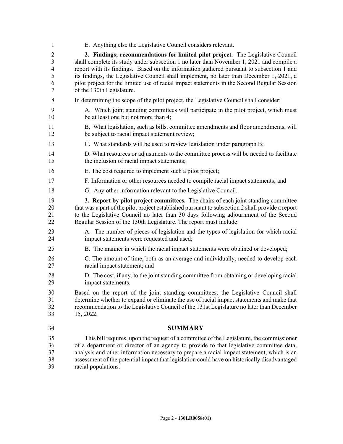1 E. Anything else the Legislative Council considers relevant. 2 **2. Findings; recommendations for limited pilot project.** The Legislative Council 3 shall complete its study under subsection 1 no later than November 1, 2021 and compile a 4 report with its findings. Based on the information gathered pursuant to subsection 1 and 5 its findings, the Legislative Council shall implement, no later than December 1, 2021, a 6 pilot project for the limited use of racial impact statements in the Second Regular Session 7 of the 130th Legislature. 8 In determining the scope of the pilot project, the Legislative Council shall consider: 9 A. Which joint standing committees will participate in the pilot project, which must 10 be at least one but not more than 4; 11 B. What legislation, such as bills, committee amendments and floor amendments, will 12 be subject to racial impact statement review; 13 C. What standards will be used to review legislation under paragraph B; 14 D. What resources or adjustments to the committee process will be needed to facilitate 15 the inclusion of racial impact statements; 16 E. The cost required to implement such a pilot project; 17 F. Information or other resources needed to compile racial impact statements; and 18 G. Any other information relevant to the Legislative Council. 19 **3. Report by pilot project committees.** The chairs of each joint standing committee 20 that was a part of the pilot project established pursuant to subsection 2 shall provide a report 21 to the Legislative Council no later than 30 days following adjournment of the Second 22 Regular Session of the 130th Legislature. The report must include: 23 A. The number of pieces of legislation and the types of legislation for which racial 24 impact statements were requested and used; 25 B. The manner in which the racial impact statements were obtained or developed; 26 C. The amount of time, both as an average and individually, needed to develop each 27 racial impact statement; and 28 D. The cost, if any, to the joint standing committee from obtaining or developing racial 29 impact statements. 30 Based on the report of the joint standing committees, the Legislative Council shall 31 determine whether to expand or eliminate the use of racial impact statements and make that 32 recommendation to the Legislative Council of the 131st Legislature no later than December 33 15, 2022. 34 **SUMMARY** 35 This bill requires, upon the request of a committee of the Legislature, the commissioner 36 of a department or director of an agency to provide to that legislative committee data, 37 analysis and other information necessary to prepare a racial impact statement, which is an 38 assessment of the potential impact that legislation could have on historically disadvantaged 39 racial populations.